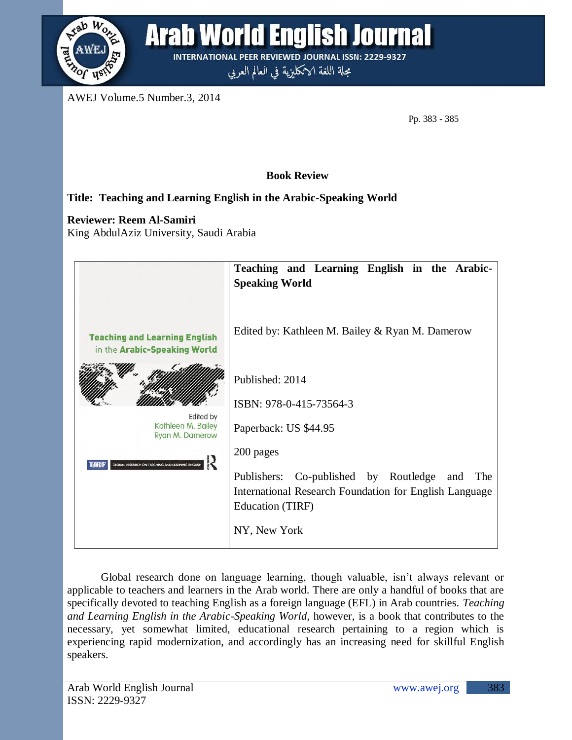

Arab World English Journal

**INTERNATIONAL PEER REVIEWED JOURNAL ISSN: 2229-9327** مجلة اللغة الانكليزية في العالم العربي

AWEJ Volume.5 Number.3, 2014

Pp. 383 - 385

 **Book Review**

## **Title: Teaching and Learning English in the Arabic-Speaking World**

**Reviewer: Reem Al-Samiri**

King AbdulAziz University, Saudi Arabia



Global research done on language learning, though valuable, isn't always relevant or applicable to teachers and learners in the Arab world. There are only a handful of books that are specifically devoted to teaching English as a foreign language (EFL) in Arab countries. *Teaching and Learning English in the Arabic-Speaking World*, however, is a book that contributes to the necessary, yet somewhat limited, educational research pertaining to a region which is experiencing rapid modernization, and accordingly has an increasing need for skillful English speakers.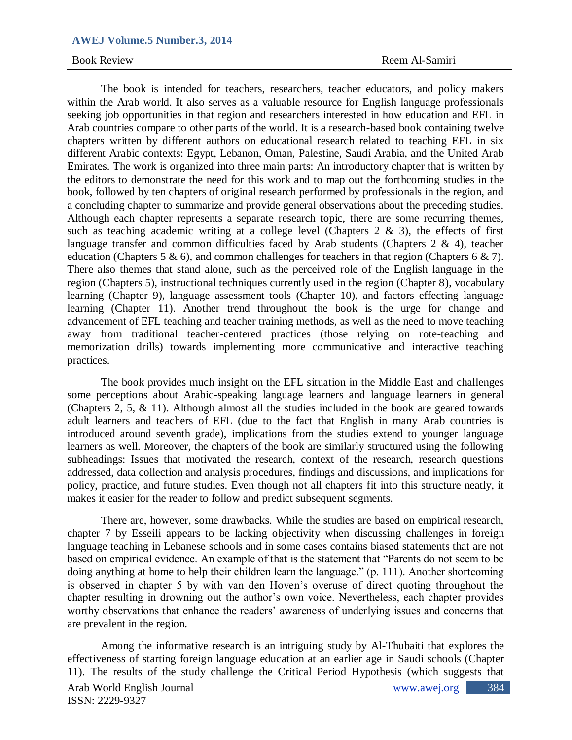## **AWEJ Volume.5 Number.3, 2014**

The book is intended for teachers, researchers, teacher educators, and policy makers within the Arab world. It also serves as a valuable resource for English language professionals seeking job opportunities in that region and researchers interested in how education and EFL in Arab countries compare to other parts of the world. It is a research-based book containing twelve chapters written by different authors on educational research related to teaching EFL in six different Arabic contexts: Egypt, Lebanon, Oman, Palestine, Saudi Arabia, and the United Arab Emirates. The work is organized into three main parts: An introductory chapter that is written by the editors to demonstrate the need for this work and to map out the forthcoming studies in the book, followed by ten chapters of original research performed by professionals in the region, and a concluding chapter to summarize and provide general observations about the preceding studies. Although each chapter represents a separate research topic, there are some recurring themes, such as teaching academic writing at a college level (Chapters  $2 \& 3$ ), the effects of first language transfer and common difficulties faced by Arab students (Chapters 2 & 4), teacher education (Chapters 5 & 6), and common challenges for teachers in that region (Chapters 6 & 7). There also themes that stand alone, such as the perceived role of the English language in the region (Chapters 5), instructional techniques currently used in the region (Chapter 8), vocabulary learning (Chapter 9), language assessment tools (Chapter 10), and factors effecting language learning (Chapter 11). Another trend throughout the book is the urge for change and advancement of EFL teaching and teacher training methods, as well as the need to move teaching away from traditional teacher-centered practices (those relying on rote-teaching and memorization drills) towards implementing more communicative and interactive teaching practices.

The book provides much insight on the EFL situation in the Middle East and challenges some perceptions about Arabic-speaking language learners and language learners in general (Chapters 2, 5, & 11). Although almost all the studies included in the book are geared towards adult learners and teachers of EFL (due to the fact that English in many Arab countries is introduced around seventh grade), implications from the studies extend to younger language learners as well. Moreover, the chapters of the book are similarly structured using the following subheadings: Issues that motivated the research, context of the research, research questions addressed, data collection and analysis procedures, findings and discussions, and implications for policy, practice, and future studies. Even though not all chapters fit into this structure neatly, it makes it easier for the reader to follow and predict subsequent segments.

There are, however, some drawbacks. While the studies are based on empirical research, chapter 7 by Esseili appears to be lacking objectivity when discussing challenges in foreign language teaching in Lebanese schools and in some cases contains biased statements that are not based on empirical evidence. An example of that is the statement that "Parents do not seem to be doing anything at home to help their children learn the language." (p. 111). Another shortcoming is observed in chapter 5 by with van den Hoven's overuse of direct quoting throughout the chapter resulting in drowning out the author's own voice. Nevertheless, each chapter provides worthy observations that enhance the readers' awareness of underlying issues and concerns that are prevalent in the region.

Among the informative research is an intriguing study by Al-Thubaiti that explores the effectiveness of starting foreign language education at an earlier age in Saudi schools (Chapter 11). The results of the study challenge the Critical Period Hypothesis (which suggests that